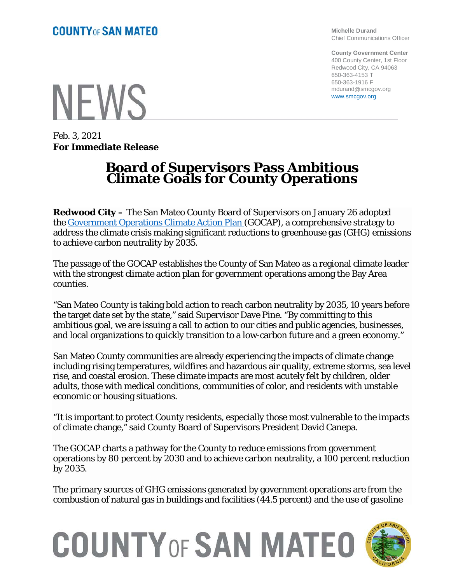## **NFWS**

Feb. 3, 2021 **For Immediate Release**

## **Board of Supervisors Pass Ambitious Climate Goals for County Operations**

**Redwood City –** The San Mateo County Board of Supervisors on January 26 adopted the [Government Operations Climate Action Plan](https://sanmateocounty.legistar.com/LegislationDetail.aspx?ID=4763289&GUID=973A9C1F-DD4A-4452-9FBC-E3D26A66088F) (GOCAP), a comprehensive strategy to address the climate crisis making significant reductions to greenhouse gas (GHG) emissions to achieve carbon neutrality by 2035.

The passage of the GOCAP establishes the County of San Mateo as a regional climate leader with the strongest climate action plan for government operations among the Bay Area counties.

"San Mateo County is taking bold action to reach carbon neutrality by 2035, 10 years before the target date set by the state," said Supervisor Dave Pine. "By committing to this ambitious goal, we are issuing a call to action to our cities and public agencies, businesses, and local organizations to quickly transition to a low-carbon future and a green economy."

San Mateo County communities are already experiencing the impacts of climate change including rising temperatures, wildfires and hazardous air quality, extreme storms, sea level rise, and coastal erosion. These climate impacts are most acutely felt by children, older adults, those with medical conditions, communities of color, and residents with unstable economic or housing situations.

"It is important to protect County residents, especially those most vulnerable to the impacts of climate change," said County Board of Supervisors President David Canepa.

The GOCAP charts a pathway for the County to reduce emissions from government operations by 80 percent by 2030 and to achieve carbon neutrality, a 100 percent reduction by 2035.

The primary sources of GHG emissions generated by government operations are from the combustion of natural gas in buildings and facilities (44.5 percent) and the use of gasoline

## **COUNTY OF SAN MATEO**



**Michelle Durand** Chief Communications Officer

**County Government Center** 400 County Center, 1st Floor Redwood City, CA 94063 650-363-4153 T 650-363-1916 F mdurand@smcgov.org www.smcgov.org